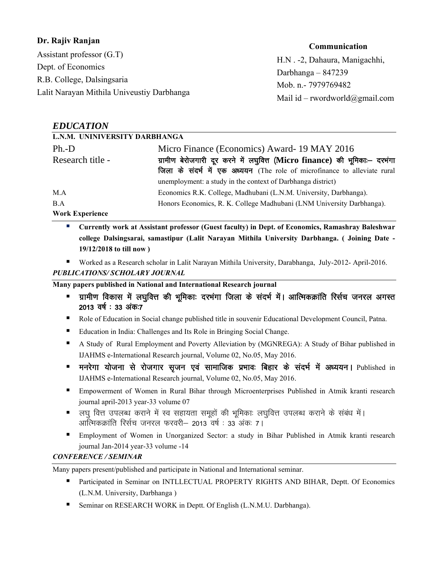### **Dr. Rajiv Ranjan** Assistant professor (G.T) Dept. of Economics R.B. College, Dalsingsaria Lalit Narayan Mithila Univeustiy Darbhanga **Communication** H.N . -2, Dahaura, Manigachhi, Darbhanga – 847239 Mob. n.- 7979769482 Mail id – rwordworld@gmail.com

| <b>EDUCATION</b>              |                                                                            |
|-------------------------------|----------------------------------------------------------------------------|
| L.N.M. UNINIVERSITY DARBHANGA |                                                                            |
| $Ph.-D$                       | Micro Finance (Economics) Award-19 MAY 2016                                |
| Research title -              | ग्रामीण बेरोजगारी दूर करने में लघुवित्त (Micro finance) की भूमिका - दरभंगा |
|                               | जिला के संदर्भ में एक अध्ययन (The role of microfinance to alleviate rural  |
|                               | unemployment: a study in the context of Darbhanga district)                |
| M.A                           | Economics R.K. College, Madhubani (L.N.M. University, Darbhanga).          |
| B.A                           | Honors Economics, R. K. College Madhubani (LNM University Darbhanga).      |
| <b>Work Experience</b>        |                                                                            |

 **Currently work at Assistant professor (Guest faculty) in Dept. of Economics, Ramashray Baleshwar college Dalsingsarai, samastipur (Lalit Narayan Mithila University Darbhanga. ( Joining Date - 19/12/2018 to till now )**

Worked as a Research scholar in Lalit Narayan Mithila University, Darabhanga, July-2012- April-2016.

# *PUBLICATIONS/ SCHOLARY JOURNAL*

**Many papers published in National and International Research journal**

- ग्रामीण विकास में लघूवित्त की भूमिकाः दरभंगा जिला के संदर्भ में। आत्मिकक्रांति रिर्सच जनरल अगस्त  $2013$  वर्ष: 33 अंक:7
- Role of Education in Social change published title in souvenir Educational Development Council, Patna.
- Education in India: Challenges and Its Role in Bringing Social Change.
- A Study of Rural Employment and Poverty Alleviation by (MGNREGA): A Study of Bihar published in IJAHMS e-International Research journal, Volume 02, No.05, May 2016.
- **=** मनरेगा योजना से रोजगार सुजन एवं सामाजिक प्रभावः बिहार के संदर्भ में अध्ययन। Published in IJAHMS e-International Research journal, Volume 02, No.05, May 2016.
- Empowerment of Women in Rural Bihar through Microenterprises Published in Atmik kranti research journal april-2013 year-33 volume 07
- $\,$  लघु वित्त उपलब्ध कराने में स्व सहायता समूहों की भूमिकाः लघुवित्त उपलब्ध कराने के संबंध में। आत्मिकक्रांति रिर्सच जनरल फरवरी– 2013 वर्ष : 33 अंक: 7 I
- Employment of Women in Unorganized Sector: a study in Bihar Published in Atmik kranti research journal Jan-2014 year-33 volume -14

## *CONFERENCE / SEMINAR*

Many papers present/published and participate in National and International seminar.

- Participated in Seminar on INTLLECTUAL PROPERTY RIGHTS AND BIHAR, Deptt. Of Economics (L.N.M. University, Darbhanga )
- Seminar on RESEARCH WORK in Deptt. Of English (L.N.M.U. Darbhanga).